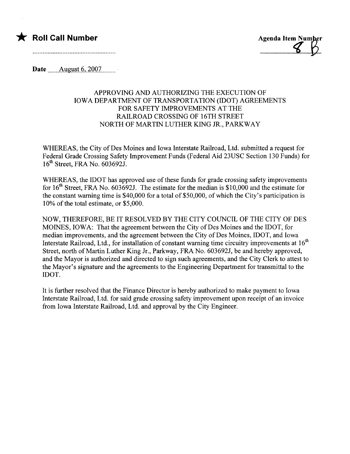

**Agenda Item Number** 

Date  $\frac{1}{2}$  August 6, 2007

## APPROVING AND AUTHORIZING THE EXECUTION OF IOWA DEPARTMENT OF TRANSPORTATION (IDOT) AGREEMENTS FOR SAFETY IMPROVEMENTS AT THE RAILROAD CROSSING OF 16TH STREET NORTH OF MARTIN LUTHER KING JR., PARKWAY

WHEREAS, the City of Des Moines and Iowa Interstate Railroad, Ltd. submitted a request for Federal Grade Crossing Safety Improvement Funds (Federal Aid 23USC Section 130 Funds) for 16th Street, FRA No. 603692J.

WHEREAS, the IDOT has approved use of these funds for grade crossing safety improvements for  $16<sup>th</sup>$  Street, FRA No. 603692J. The estimate for the median is \$10,000 and the estimate for the constant warning time is \$40,000 for a total of \$50,000, of which the City's participation is 10% of the total estimate, or \$5,000.

NOW, THEREFORE, BE IT RESOLVED BY THE CITY COUNCIL OF THE CITY OF DES MOINES, IOWA: That the agreement between the City of Des Moines and the IDOT, for median improvements, and the agreement between the City of Des Moines, IDOT, and Iowa Interstate Railroad, Ltd., for installation of constant warning time circuitry improvements at  $16<sup>th</sup>$ Street, north of Martin Luther King Jr., Parkway, FRA No. 603692J, be and hereby approved, and the Mayor is authorized and directed to sign such agreements, and the City Clerk to attest to the Mayor's signature and the agreements to the Engineering Department for transmittal to the IDOT.

It is further resolved that the Finance Director is hereby authorized to make payment to Iowa Interstate Railroad, Ltd. for said grade crossing safety improvement upon receipt of an invoice from Iowa Interstate Railroad, Ltd. and approval by the City Engineer.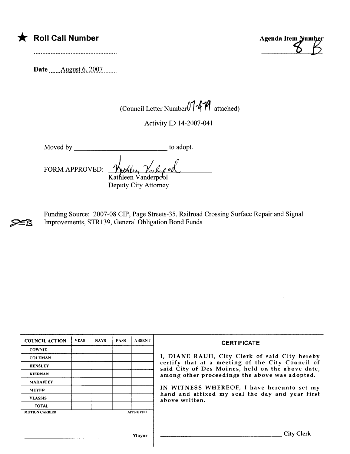|  |  |  | Roll Call Number |
|--|--|--|------------------|
|--|--|--|------------------|

Date \_\_\_\_\_\_ August 6, 2007

Agenda Item Number

(Council Letter Number $01.4$ <sup>1</sup>/1 attached)

Activity ID 14-2007-041

Moved by to adopt.

FORM APPROVED:

Kathleen Vanderpool Deputy City Attorney

~ Funding Source: 2007-08 CIP, Page Streets-35, Railroad Crossing Surface Repair and Signal Improvements, STR139, General Obligation Bond Funds

| <b>COUNCIL ACTION</b> | <b>YEAS</b> | <b>NAYS</b> | <b>PASS</b> | <b>ABSENT</b>   | <b>CERTIFICATE</b>                                                                                                                                                                                                                                                                                                         |
|-----------------------|-------------|-------------|-------------|-----------------|----------------------------------------------------------------------------------------------------------------------------------------------------------------------------------------------------------------------------------------------------------------------------------------------------------------------------|
| <b>COWNIE</b>         |             |             |             |                 | I, DIANE RAUH, City Clerk of said City hereby<br>certify that at a meeting of the City Council of<br>said City of Des Moines, held on the above date,<br>among other proceedings the above was adopted.<br>IN WITNESS WHEREOF, I have hereunto set my<br>hand and affixed my seal the day and year first<br>above written. |
| <b>COLEMAN</b>        |             |             |             |                 |                                                                                                                                                                                                                                                                                                                            |
| <b>HENSLEY</b>        |             |             |             |                 |                                                                                                                                                                                                                                                                                                                            |
| <b>KIERNAN</b>        |             |             |             |                 |                                                                                                                                                                                                                                                                                                                            |
| <b>MAHAFFEY</b>       |             |             |             |                 |                                                                                                                                                                                                                                                                                                                            |
| <b>MEYER</b>          |             |             |             |                 |                                                                                                                                                                                                                                                                                                                            |
| <b>VLASSIS</b>        |             |             |             |                 |                                                                                                                                                                                                                                                                                                                            |
| <b>TOTAL</b>          |             |             |             |                 |                                                                                                                                                                                                                                                                                                                            |
| <b>MOTION CARRIED</b> |             |             |             | <b>APPROVED</b> |                                                                                                                                                                                                                                                                                                                            |
|                       |             |             |             |                 |                                                                                                                                                                                                                                                                                                                            |
|                       |             |             |             | Mayor           | <b>City Clerk</b>                                                                                                                                                                                                                                                                                                          |